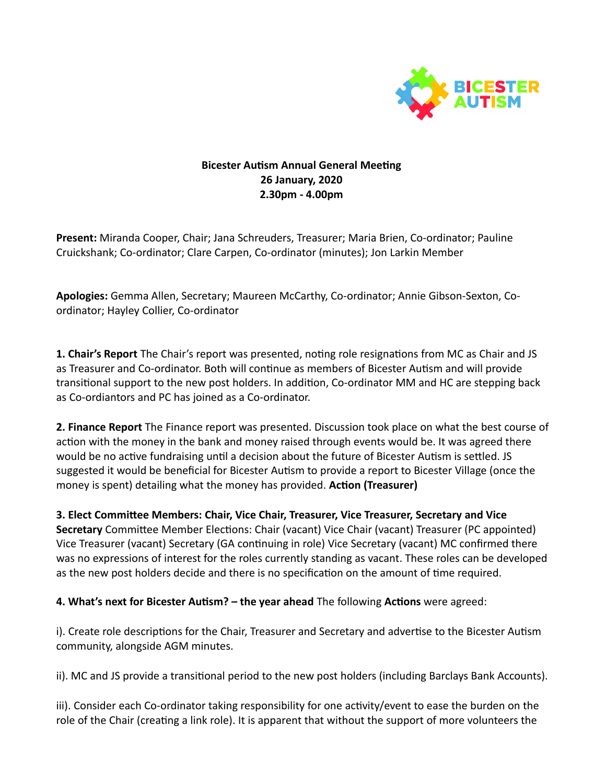

## **Bicester Autism Annual General Meeting 26 January, 2020 2.30pm - 4.00pm**

**Present:** Miranda Cooper, Chair; Jana Schreuders, Treasurer; Maria Brien, Co-ordinator; Pauline Cruickshank; Co-ordinator; Clare Carpen, Co-ordinator (minutes); Jon Larkin Member

**Apologies:** Gemma Allen, Secretary; Maureen McCarthy, Co-ordinator; Annie Gibson-Sexton, Coordinator; Hayley Collier, Co-ordinator

**1. Chair's Report** The Chair's report was presented, noting role resignations from MC as Chair and JS as Treasurer and Co-ordinator. Both will continue as members of Bicester Autism and will provide transitional support to the new post holders. In addition, Co-ordinator MM and HC are stepping back as Co-ordiantors and PC has joined as a Co-ordinator.

**2. Finance Report** The Finance report was presented. Discussion took place on what the best course of action with the money in the bank and money raised through events would be. It was agreed there would be no active fundraising until a decision about the future of Bicester Autism is settled. JS suggested it would be beneficial for Bicester Autism to provide a report to Bicester Village (once the money is spent) detailing what the money has provided. **Action (Treasurer)** 

**3. Elect Committee Members: Chair, Vice Chair, Treasurer, Vice Treasurer, Secretary and Vice Secretary** Committee Member Elections: Chair (vacant) Vice Chair (vacant) Treasurer (PC appointed) Vice Treasurer (vacant) Secretary (GA continuing in role) Vice Secretary (vacant) MC confirmed there was no expressions of interest for the roles currently standing as vacant. These roles can be developed as the new post holders decide and there is no specification on the amount of time required.

**4. What's next for Bicester Autism? – the year ahead** The following **Actions** were agreed:

i). Create role descriptions for the Chair, Treasurer and Secretary and advertise to the Bicester Autism community, alongside AGM minutes.

ii). MC and JS provide a transitional period to the new post holders (including Barclays Bank Accounts).

iii). Consider each Co-ordinator taking responsibility for one activity/event to ease the burden on the role of the Chair (creating a link role). It is apparent that without the support of more volunteers the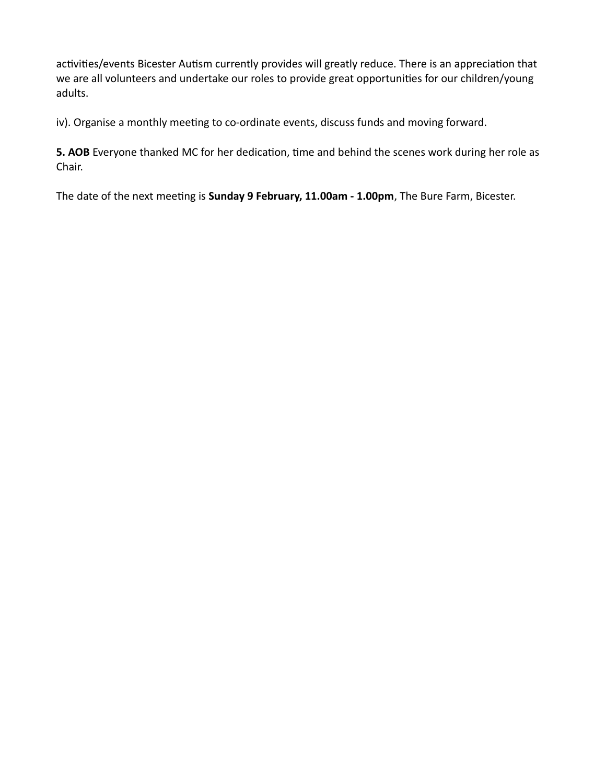activities/events Bicester Autism currently provides will greatly reduce. There is an appreciation that we are all volunteers and undertake our roles to provide great opportunities for our children/young adults.

iv). Organise a monthly meeting to co-ordinate events, discuss funds and moving forward.

**5. AOB** Everyone thanked MC for her dedication, time and behind the scenes work during her role as Chair.

The date of the next meeting is **Sunday 9 February, 11.00am - 1.00pm**, The Bure Farm, Bicester.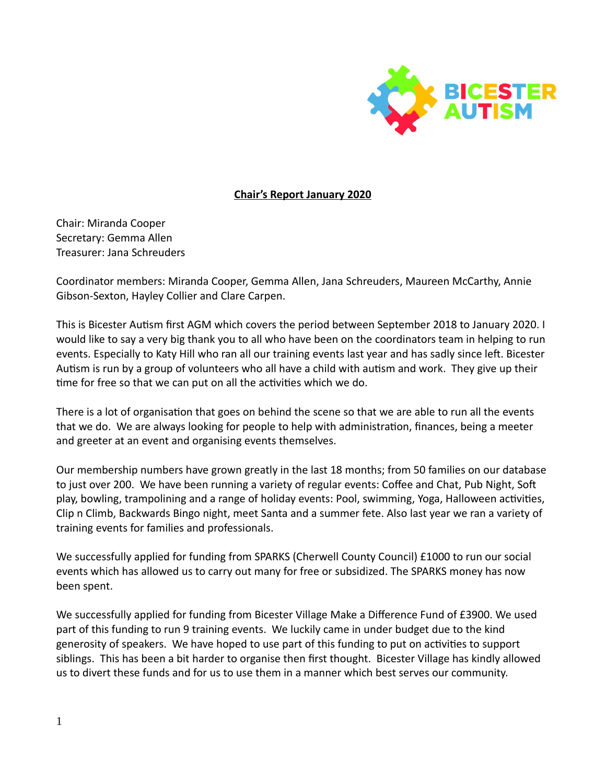

## **Chair's Report January 2020**

Chair: Miranda Cooper Secretary: Gemma Allen Treasurer: Jana Schreuders

Coordinator members: Miranda Cooper, Gemma Allen, Jana Schreuders, Maureen McCarthy, Annie Gibson-Sexton, Hayley Collier and Clare Carpen.

This is Bicester Autism first AGM which covers the period between September 2018 to January 2020. I would like to say a very big thank you to all who have been on the coordinators team in helping to run events. Especially to Katy Hill who ran all our training events last year and has sadly since left. Bicester Autism is run by a group of volunteers who all have a child with autism and work. They give up their time for free so that we can put on all the activities which we do.

There is a lot of organisation that goes on behind the scene so that we are able to run all the events that we do. We are always looking for people to help with administration, finances, being a meeter and greeter at an event and organising events themselves.

Our membership numbers have grown greatly in the last 18 months; from 50 families on our database to just over 200. We have been running a variety of regular events: Coffee and Chat, Pub Night, Soft play, bowling, trampolining and a range of holiday events: Pool, swimming, Yoga, Halloween activities, Clip n Climb, Backwards Bingo night, meet Santa and a summer fete. Also last year we ran a variety of training events for families and professionals.

We successfully applied for funding from SPARKS (Cherwell County Council) £1000 to run our social events which has allowed us to carry out many for free or subsidized. The SPARKS money has now been spent.

We successfully applied for funding from Bicester Village Make a Difference Fund of £3900. We used part of this funding to run 9 training events. We luckily came in under budget due to the kind generosity of speakers. We have hoped to use part of this funding to put on activities to support siblings. This has been a bit harder to organise then first thought. Bicester Village has kindly allowed us to divert these funds and for us to use them in a manner which best serves our community.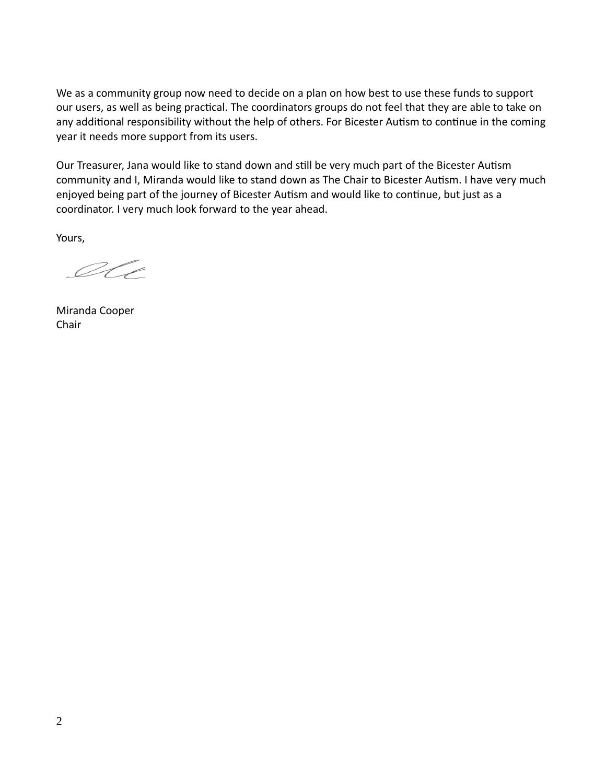We as a community group now need to decide on a plan on how best to use these funds to support our users, as well as being practical. The coordinators groups do not feel that they are able to take on any additional responsibility without the help of others. For Bicester Autism to continue in the coming year it needs more support from its users.

Our Treasurer, Jana would like to stand down and still be very much part of the Bicester Autism community and I, Miranda would like to stand down as The Chair to Bicester Autism. I have very much enjoyed being part of the journey of Bicester Autism and would like to continue, but just as a coordinator. I very much look forward to the year ahead.

Yours,

IC

Miranda Cooper Chair